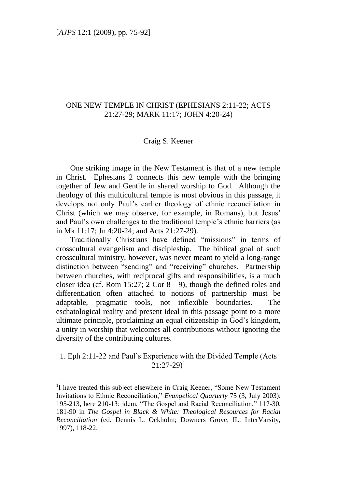# ONE NEW TEMPLE IN CHRIST (EPHESIANS 2:11-22; ACTS 21:27-29; MARK 11:17; JOHN 4:20-24)

#### Craig S. Keener

One striking image in the New Testament is that of a new temple in Christ. Ephesians 2 connects this new temple with the bringing together of Jew and Gentile in shared worship to God. Although the theology of this multicultural temple is most obvious in this passage, it develops not only Paul"s earlier theology of ethnic reconciliation in Christ (which we may observe, for example, in Romans), but Jesus" and Paul"s own challenges to the traditional temple"s ethnic barriers (as in Mk 11:17; Jn 4:20-24; and Acts 21:27-29).

Traditionally Christians have defined "missions" in terms of crosscultural evangelism and discipleship. The biblical goal of such crosscultural ministry, however, was never meant to yield a long-range distinction between "sending" and "receiving" churches. Partnership between churches, with reciprocal gifts and responsibilities, is a much closer idea (cf. Rom 15:27; 2 Cor 8—9), though the defined roles and differentiation often attached to notions of partnership must be adaptable, pragmatic tools, not inflexible boundaries. The eschatological reality and present ideal in this passage point to a more ultimate principle, proclaiming an equal citizenship in God"s kingdom, a unity in worship that welcomes all contributions without ignoring the diversity of the contributing cultures.

1. Eph 2:11-22 and Paul"s Experience with the Divided Temple (Acts  $21:27-29$ <sup>1</sup>

<sup>&</sup>lt;sup>1</sup>I have treated this subject elsewhere in Craig Keener, "Some New Testament Invitations to Ethnic Reconciliation," *Evangelical Quarterly* 75 (3, July 2003): 195-213, here 210-13; idem, "The Gospel and Racial Reconciliation," 117-30, 181-90 in *The Gospel in Black & White: Theological Resources for Racial Reconciliation* (ed. Dennis L. Ockholm; Downers Grove, IL: InterVarsity, 1997), 118-22.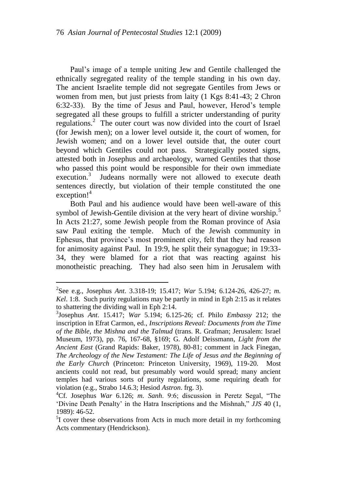Paul"s image of a temple uniting Jew and Gentile challenged the ethnically segregated reality of the temple standing in his own day. The ancient Israelite temple did not segregate Gentiles from Jews or women from men, but just priests from laity (1 Kgs 8:41-43; 2 Chron 6:32-33). By the time of Jesus and Paul, however, Herod"s temple segregated all these groups to fulfill a stricter understanding of purity regulations.<sup>2</sup> The outer court was now divided into the court of Israel (for Jewish men); on a lower level outside it, the court of women, for Jewish women; and on a lower level outside that, the outer court beyond which Gentiles could not pass. Strategically posted signs, attested both in Josephus and archaeology, warned Gentiles that those who passed this point would be responsible for their own immediate execution.<sup>3</sup> Judeans normally were not allowed to execute death sentences directly, but violation of their temple constituted the one  $exception!^4$ 

Both Paul and his audience would have been well-aware of this symbol of Jewish-Gentile division at the very heart of divine worship.<sup>5</sup> In Acts 21:27, some Jewish people from the Roman province of Asia saw Paul exiting the temple. Much of the Jewish community in Ephesus, that province"s most prominent city, felt that they had reason for animosity against Paul. In 19:9, he split their synagogue; in 19:33- 34, they were blamed for a riot that was reacting against his monotheistic preaching. They had also seen him in Jerusalem with

<sup>2</sup> See e.g., Josephus *Ant*. 3.318-19; 15.417; *War* 5.194; 6.124-26, 426-27; *m. Kel*. 1:8. Such purity regulations may be partly in mind in Eph 2:15 as it relates to shattering the dividing wall in Eph 2:14.

<sup>3</sup> Josephus *Ant*. 15.417; *War* 5.194; 6.125-26; cf. Philo *Embassy* 212; the inscription in Efrat Carmon, ed., *Inscriptions Reveal: Documents from the Time of the Bible, the Mishna and the Talmud* (trans. R. Grafman; Jerusalem: Israel Museum, 1973), pp. 76, 167-68, §169; G. Adolf Deissmann, *Light from the Ancient East* (Grand Rapids: Baker, 1978), 80-81; comment in Jack Finegan, *The Archeology of the New Testament: The Life of Jesus and the Beginning of the Early Church* (Princeton: Princeton University, 1969), 119-20. Most ancients could not read, but presumably word would spread; many ancient temples had various sorts of purity regulations, some requiring death for violation (e.g., Strabo 14.6.3; Hesiod *Astron*. frg. 3).

<sup>4</sup>Cf. Josephus *War* 6.126; *m. Sanh*. 9:6; discussion in Peretz Segal, "The "Divine Death Penalty" in the Hatra Inscriptions and the Mishnah," *JJS* 40 (1, 1989): 46-52.

<sup>&</sup>lt;sup>5</sup>I cover these observations from Acts in much more detail in my forthcoming Acts commentary (Hendrickson).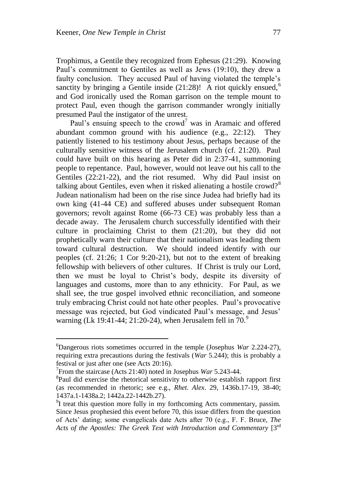Trophimus, a Gentile they recognized from Ephesus (21:29). Knowing Paul"s commitment to Gentiles as well as Jews (19:10), they drew a faulty conclusion. They accused Paul of having violated the temple"s sanctity by bringing a Gentile inside  $(21:28)$ ! A riot quickly ensued,<sup>6</sup> and God ironically used the Roman garrison on the temple mount to protect Paul, even though the garrison commander wrongly initially presumed Paul the instigator of the unrest.

Paul's ensuing speech to the crowd<sup>7</sup> was in Aramaic and offered abundant common ground with his audience (e.g., 22:12). They patiently listened to his testimony about Jesus, perhaps because of the culturally sensitive witness of the Jerusalem church (cf. 21:20). Paul could have built on this hearing as Peter did in 2:37-41, summoning people to repentance. Paul, however, would not leave out his call to the Gentiles (22:21-22), and the riot resumed. Why did Paul insist on talking about Gentiles, even when it risked alienating a hostile crowd?<sup>8</sup> Judean nationalism had been on the rise since Judea had briefly had its own king (41-44 CE) and suffered abuses under subsequent Roman governors; revolt against Rome (66-73 CE) was probably less than a decade away. The Jerusalem church successfully identified with their culture in proclaiming Christ to them (21:20), but they did not prophetically warn their culture that their nationalism was leading them toward cultural destruction. We should indeed identify with our peoples (cf. 21:26; 1 Cor 9:20-21), but not to the extent of breaking fellowship with believers of other cultures. If Christ is truly our Lord, then we must be loyal to Christ"s body, despite its diversity of languages and customs, more than to any ethnicity. For Paul, as we shall see, the true gospel involved ethnic reconciliation, and someone truly embracing Christ could not hate other peoples. Paul"s provocative message was rejected, but God vindicated Paul"s message, and Jesus" warning (Lk 19:41-44; 21:20-24), when Jerusalem fell in  $70<sup>9</sup>$ 

<sup>6</sup>Dangerous riots sometimes occurred in the temple (Josephus *War* 2.224-27), requiring extra precautions during the festivals (*War* 5.244); this is probably a festival or just after one (see Acts 20:16).

<sup>7</sup> From the staircase (Acts 21:40) noted in Josephus *War* 5.243-44.

<sup>&</sup>lt;sup>8</sup>Paul did exercise the rhetorical sensitivity to otherwise establish rapport first (as recommended in rhetoric; see e.g., *Rhet. Alex*. 29, 1436b.17-19, 38-40; 1437a.1-1438a.2; 1442a.22-1442b.27).

 $91$  treat this question more fully in my forthcoming Acts commentary, passim. Since Jesus prophesied this event before 70, this issue differs from the question of Acts" dating; some evangelicals date Acts after 70 (e.g., F. F. Bruce, *The Acts of the Apostles: The Greek Text with Introduction and Commentary* [3rd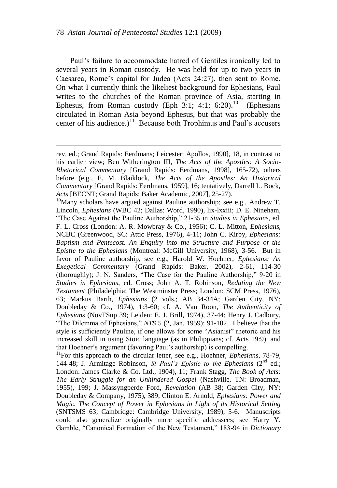Paul"s failure to accommodate hatred of Gentiles ironically led to several years in Roman custody. He was held for up to two years in Caesarea, Rome"s capital for Judea (Acts 24:27), then sent to Rome. On what I currently think the likeliest background for Ephesians, Paul writes to the churches of the Roman province of Asia, starting in Ephesus, from Roman custody (Eph 3:1; 4:1; 6:20).<sup>10</sup> (Ephesians circulated in Roman Asia beyond Ephesus, but that was probably the center of his audience.)<sup>11</sup> Because both Trophimus and Paul's accusers

<sup>11</sup>For this approach to the circular letter, see e.g., Hoehner, *Ephesians*, 78-79, 144-48; J. Armitage Robinson, *St Paul's Epistle to the Ephesians*  $(2^{nd}$  ed.; London: James Clarke & Co. Ltd., 1904), 11; Frank Stagg, *The Book of Acts: The Early Struggle for an Unhindered Gospel* (Nashville, TN: Broadman, 1955), 199; J. Massyngberde Ford, *Revelation* (AB 38; Garden City, NY: Doubleday & Company, 1975), 389; Clinton E. Arnold, *Ephesians: Power and Magic. The Concept of Power in Ephesians in Light of its Historical Setting* (SNTSMS 63; Cambridge: Cambridge University, 1989), 5-6. Manuscripts could also generalize originally more specific addressees; see Harry Y. Gamble, "Canonical Formation of the New Testament," 183-94 in *Dictionary* 

rev. ed.; Grand Rapids: Eerdmans; Leicester: Apollos, 1990], 18, in contrast to his earlier view; Ben Witherington III, *The Acts of the Apostles: A Socio-Rhetorical Commentary* [Grand Rapids: Eerdmans, 1998], 165-72), others before (e.g., E. M. Blaiklock, *The Acts of the Apostles: An Historical Commentary* [Grand Rapids: Eerdmans, 1959], 16; tentatively, Darrell L. Bock, *Acts* [BECNT; Grand Rapids: Baker Academic, 2007], 25-27).

 $10$ Many scholars have argued against Pauline authorship; see e.g., Andrew T. Lincoln, *Ephesians* (WBC 42; Dallas: Word, 1990), lix-lxxiii; D. E. Nineham, "The Case Against the Pauline Authorship," 21-35 in *Studies in Ephesians*, ed. F. L. Cross (London: A. R. Mowbray & Co., 1956); C. L. Mitton, *Ephesians*, NCBC (Greenwood, SC: Attic Press, 1976), 4-11; John C. Kirby, *Ephesians: Baptism and Pentecost. An Enquiry into the Structure and Purpose of the Epistle to the Ephesians* (Montreal: McGill University, 1968), 3-56. But in favor of Pauline authorship, see e.g., Harold W. Hoehner, *Ephesians: An Exegetical Commentary* (Grand Rapids: Baker, 2002), 2-61, 114-30 (thoroughly); J. N. Sanders, "The Case for the Pauline Authorship," 9-20 in *Studies in Ephesians*, ed. Cross; John A. T. Robinson, *Redating the New Testament* (Philadelphia: The Westminster Press; London: SCM Press, 1976), 63; Markus Barth, *Ephesians* (2 vols.; AB 34-34A; Garden City, NY: Doubleday & Co., 1974), 1:3-60; cf. A. Van Roon, *The Authenticity of Ephesians* (NovTSup 39; Leiden: E. J. Brill, 1974), 37-44; Henry J. Cadbury, "The Dilemma of Ephesians," *NTS* 5 (2, Jan. 1959): 91-102. I believe that the style is sufficiently Pauline, if one allows for some "Asianist" rhetoric and his increased skill in using Stoic language (as in Philippians; cf. Acts 19:9), and that Hoehner"s argument (favoring Paul"s authorship) is compelling.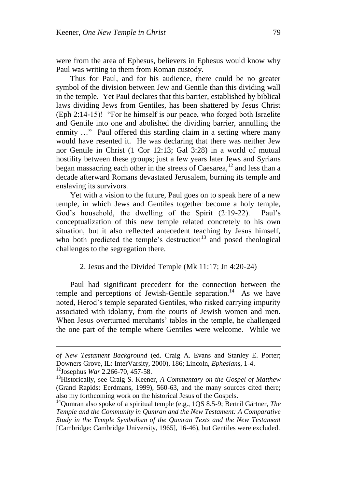were from the area of Ephesus, believers in Ephesus would know why Paul was writing to them from Roman custody.

Thus for Paul, and for his audience, there could be no greater symbol of the division between Jew and Gentile than this dividing wall in the temple. Yet Paul declares that this barrier, established by biblical laws dividing Jews from Gentiles, has been shattered by Jesus Christ (Eph 2:14-15)! "For he himself is our peace, who forged both Israelite and Gentile into one and abolished the dividing barrier, annulling the enmity ..." Paul offered this startling claim in a setting where many would have resented it. He was declaring that there was neither Jew nor Gentile in Christ (1 Cor 12:13; Gal 3:28) in a world of mutual hostility between these groups; just a few years later Jews and Syrians began massacring each other in the streets of Caesarea,<sup>12</sup> and less than a decade afterward Romans devastated Jerusalem, burning its temple and enslaving its survivors.

Yet with a vision to the future, Paul goes on to speak here of a new temple, in which Jews and Gentiles together become a holy temple, God's household, the dwelling of the Spirit (2:19-22). Paul's conceptualization of this new temple related concretely to his own situation, but it also reflected antecedent teaching by Jesus himself, who both predicted the temple's destruction $13$  and posed theological challenges to the segregation there.

# 2. Jesus and the Divided Temple (Mk 11:17; Jn 4:20-24)

Paul had significant precedent for the connection between the temple and perceptions of Jewish-Gentile separation.<sup>14</sup> As we have noted, Herod"s temple separated Gentiles, who risked carrying impurity associated with idolatry, from the courts of Jewish women and men. When Jesus overturned merchants' tables in the temple, he challenged the one part of the temple where Gentiles were welcome. While we

*of New Testament Background* (ed. Craig A. Evans and Stanley E. Porter; Downers Grove, IL: InterVarsity, 2000), 186; Lincoln, *Ephesians*, 1-4.

<sup>12</sup>Josephus *War* 2.266-70, 457-58.

<sup>13</sup>Historically, see Craig S. Keener, *A Commentary on the Gospel of Matthew* (Grand Rapids: Eerdmans, 1999), 560-63, and the many sources cited there; also my forthcoming work on the historical Jesus of the Gospels.

<sup>&</sup>lt;sup>14</sup>Oumran also spoke of a spiritual temple (e.g., 1QS 8.5-9; Bertril Gärtner, *The Temple and the Community in Qumran and the New Testament: A Comparative Study in the Temple Symbolism of the Qumran Texts and the New Testament* [Cambridge: Cambridge University, 1965], 16-46), but Gentiles were excluded.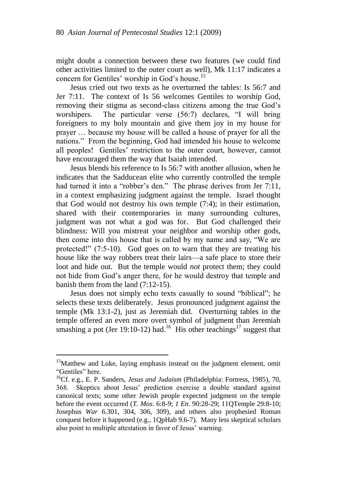might doubt a connection between these two features (we could find other activities limited to the outer court as well), Mk 11:17 indicates a concern for Gentiles' worship in God's house.<sup>15</sup>

Jesus cried out two texts as he overturned the tables: Is 56:7 and Jer 7:11. The context of Is 56 welcomes Gentiles to worship God, removing their stigma as second-class citizens among the true God"s worshipers. The particular verse (56:7) declares, "I will bring foreigners to my holy mountain and give them joy in my house for prayer … because my house will be called a house of prayer for all the nations." From the beginning, God had intended his house to welcome all peoples! Gentiles' restriction to the outer court, however, cannot have encouraged them the way that Isaiah intended.

Jesus blends his reference to Is 56:7 with another allusion, when he indicates that the Sadducean elite who currently controlled the temple had turned it into a "robber's den." The phrase derives from Jer 7:11, in a context emphasizing judgment against the temple. Israel thought that God would not destroy his own temple (7:4); in their estimation, shared with their contemporaries in many surrounding cultures, judgment was not what a god was for. But God challenged their blindness: Will you mistreat your neighbor and worship other gods, then come into this house that is called by my name and say, "We are protected!" (7:5-10). God goes on to warn that they are treating his house like the way robbers treat their lairs—a safe place to store their loot and hide out. But the temple would *not* protect them; they could not hide from God"s anger there, for he would destroy that temple and banish them from the land (7:12-15).

Jesus does not simply echo texts casually to sound "biblical"; he selects these texts deliberately. Jesus pronounced judgment against the temple (Mk 13:1-2), just as Jeremiah did. Overturning tables in the temple offered an even more overt symbol of judgment than Jeremiah smashing a pot (Jer 19:10-12) had.<sup>16</sup> His other teachings<sup>17</sup> suggest that

<sup>&</sup>lt;sup>15</sup>Matthew and Luke, laying emphasis instead on the judgment element, omit "Gentiles" here.

<sup>16</sup>Cf. e.g., E. P. Sanders, *Jesus and Judaism* (Philadelphia: Fortress, 1985), 70, 368. Skeptics about Jesus" prediction exercise a double standard against canonical texts; some other Jewish people expected judgment on the temple before the event occurred (*T. Mos*. 6:8-9; *1 En*. 90:28-29; 11QTemple 29:8-10; Josephus *War* 6.301, 304, 306, 309), and others also prophesied Roman conquest before it happened (e.g., 1QpHab 9.6-7). Many less skeptical scholars also point to multiple attestation in favor of Jesus' warning.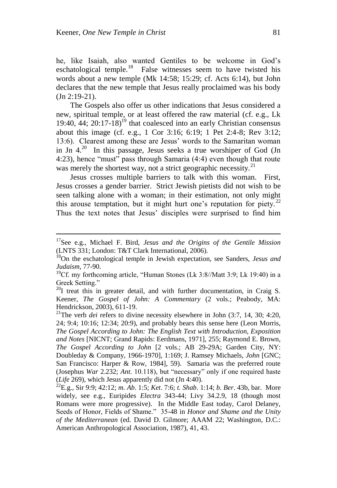he, like Isaiah, also wanted Gentiles to be welcome in God"s eschatological temple.<sup>18</sup> False witnesses seem to have twisted his words about a new temple (Mk 14:58; 15:29; cf. Acts 6:14), but John declares that the new temple that Jesus really proclaimed was his body (Jn 2:19-21).

The Gospels also offer us other indications that Jesus considered a new, spiritual temple, or at least offered the raw material (cf. e.g., Lk 19:40, 44;  $20:17-18$ <sup>19</sup> that coalesced into an early Christian consensus about this image (cf. e.g., 1 Cor 3:16; 6:19; 1 Pet 2:4-8; Rev 3:12; 13:6). Clearest among these are Jesus' words to the Samaritan woman in Jn  $4.^{20}$  In this passage, Jesus seeks a true worshiper of God (Jn 4:23), hence "must" pass through Samaria (4:4) even though that route was merely the shortest way, not a strict geographic necessity.<sup>21</sup>

Jesus crosses multiple barriers to talk with this woman. First, Jesus crosses a gender barrier. Strict Jewish pietists did not wish to be seen talking alone with a woman; in their estimation, not only might this arouse temptation, but it might hurt one's reputation for piety.<sup>22</sup> Thus the text notes that Jesus' disciples were surprised to find him

<sup>17</sup>See e.g., Michael F. Bird, *Jesus and the Origins of the Gentile Mission* (LNTS 331; London: T&T Clark International, 2006).

<sup>18</sup>On the eschatological temple in Jewish expectation, see Sanders, *Jesus and Judaism*, 77-90.

 $19$ Cf. my forthcoming article, "Human Stones (Lk 3:8//Matt 3:9; Lk 19:40) in a Greek Setting."

 $^{20}$ I treat this in greater detail, and with further documentation, in Craig S. Keener, *The Gospel of John: A Commentary* (2 vols.; Peabody, MA: Hendrickson, 2003), 611-19.

<sup>&</sup>lt;sup>21</sup>The verb *dei* refers to divine necessity elsewhere in John (3:7, 14, 30; 4:20, 24; 9:4; 10:16; 12:34; 20:9), and probably bears this sense here (Leon Morris, *The Gospel According to John: The English Text with Introduction, Exposition and Notes* [NICNT; Grand Rapids: Eerdmans, 1971], 255; Raymond E. Brown, *The Gospel According to John* [2 vols.; AB 29-29A; Garden City, NY: Doubleday & Company, 1966-1970], 1:169; J. Ramsey Michaels, *John* [GNC; San Francisco: Harper & Row, 1984], 59). Samaria was the preferred route (Josephus *War* 2.232; *Ant*. 10.118), but "necessary" only if one required haste (*Life* 269), which Jesus apparently did not (Jn 4:40).

<sup>22</sup>E.g., Sir 9:9; 42:12; *m. Ab*. 1:5; *Ket*. 7:6; *t. Shab*. 1:14; *b. Ber*. 43b, bar. More widely, see e.g., Euripides *Electra* 343-44; Livy 34.2.9, 18 (though most Romans were more progressive). In the Middle East today, Carol Delaney, Seeds of Honor, Fields of Shame." 35-48 in *Honor and Shame and the Unity of the Mediterranean* (ed. David D. Gilmore; AAAM 22; Washington, D.C.: American Anthropological Association, 1987), 41, 43.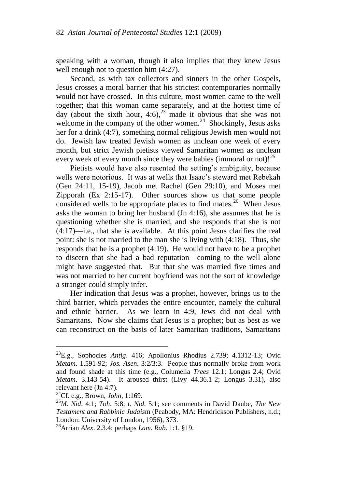speaking with a woman, though it also implies that they knew Jesus well enough not to question him (4:27).

Second, as with tax collectors and sinners in the other Gospels, Jesus crosses a moral barrier that his strictest contemporaries normally would not have crossed. In this culture, most women came to the well together; that this woman came separately, and at the hottest time of day (about the sixth hour, 4:6),<sup>23</sup> made it obvious that she was not welcome in the company of the other women. $24$  Shockingly, Jesus asks her for a drink (4:7), something normal religious Jewish men would not do. Jewish law treated Jewish women as unclean one week of every month, but strict Jewish pietists viewed Samaritan women as unclean every week of every month since they were babies (immoral or not)!<sup>25</sup>

Pietists would have also resented the setting"s ambiguity, because wells were notorious. It was at wells that Isaac"s steward met Rebekah (Gen 24:11, 15-19), Jacob met Rachel (Gen 29:10), and Moses met Zipporah (Ex 2:15-17). Other sources show us that some people considered wells to be appropriate places to find mates.<sup>26</sup> When Jesus asks the woman to bring her husband (Jn 4:16), she assumes that he is questioning whether she is married, and she responds that she is not (4:17)—i.e., that she is available. At this point Jesus clarifies the real point: she is not married to the man she is living with (4:18). Thus, she responds that he is a prophet (4:19). He would not have to be a prophet to discern that she had a bad reputation—coming to the well alone might have suggested that. But that she was married five times and was not married to her current boyfriend was not the sort of knowledge a stranger could simply infer.

Her indication that Jesus was a prophet, however, brings us to the third barrier, which pervades the entire encounter, namely the cultural and ethnic barrier. As we learn in 4:9, Jews did not deal with Samaritans. Now she claims that Jesus is a prophet; but as best as we can reconstruct on the basis of later Samaritan traditions, Samaritans

<sup>23</sup>E.g., Sophocles *Antig*. 416; Apollonius Rhodius 2.739; 4.1312-13; Ovid *Metam*. 1.591-92; *Jos. Asen*. 3:2/3:3. People thus normally broke from work and found shade at this time (e.g., Columella *Trees* 12.1; Longus 2.4; Ovid *Metam*. 3.143-54). It aroused thirst (Livy 44.36.1-2; Longus 3.31), also relevant here (Jn 4:7).

<sup>24</sup>Cf. e.g., Brown, *John*, 1:169.

<sup>25</sup>*M. Nid*. 4:1; *Toh*. 5:8; *t. Nid*. 5:1; see comments in David Daube, *The New Testament and Rabbinic Judais*m (Peabody, MA: Hendrickson Publishers, n.d.; London: University of London, 1956), 373.

<sup>26</sup>Arrian *Alex*. 2.3.4; perhaps *Lam. Rab*. 1:1, §19.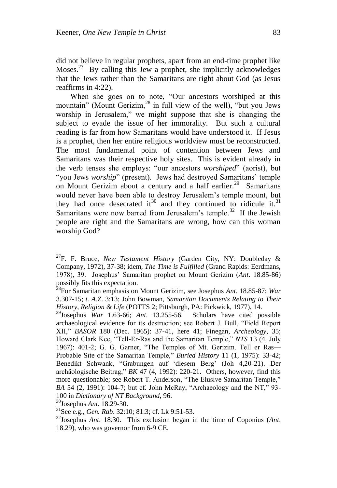did not believe in regular prophets, apart from an end-time prophet like Moses.<sup>27</sup> By calling this Jew a prophet, she implicitly acknowledges that the Jews rather than the Samaritans are right about God (as Jesus reaffirms in 4:22).

When she goes on to note, "Our ancestors worshiped at this mountain" (Mount Gerizim,<sup>28</sup> in full view of the well), "but you Jews worship in Jerusalem," we might suppose that she is changing the subject to evade the issue of her immorality. But such a cultural reading is far from how Samaritans would have understood it. If Jesus is a prophet, then her entire religious worldview must be reconstructed. The most fundamental point of contention between Jews and Samaritans was their respective holy sites. This is evident already in the verb tenses she employs: "our ancestors *worshiped*" (aorist), but "you Jews *worship*" (present). Jews had destroyed Samaritans' temple on Mount Gerizim about a century and a half earlier.<sup>29</sup> Samaritans would never have been able to destroy Jerusalem"s temple mount, but they had once desecrated it<sup>30</sup> and they continued to ridicule it.<sup>31</sup> Samaritans were now barred from Jerusalem's temple.<sup>32</sup> If the Jewish people are right and the Samaritans are wrong, how can this woman worship God?

<sup>&</sup>lt;sup>27</sup>F. F. Bruce, *New Testament History* (Garden City, NY: Doubleday & Company, 1972), 37-38; idem, *The Time is Fulfilled* (Grand Rapids: Eerdmans, 1978), 39. Josephus" Samaritan prophet on Mount Gerizim (*Ant*. 18.85-86) possibly fits this expectation.

<sup>28</sup>For Samaritan emphasis on Mount Gerizim, see Josephus *Ant*. 18.85-87; *War* 3.307-15; *t. A.Z*. 3:13; John Bowman, *Samaritan Documents Relating to Their History, Religion & Life* (POTTS 2; Pittsburgh, PA: Pickwick, 1977), 14.

<sup>29</sup>Josephus *War* 1.63-66; *Ant*. 13.255-56. Scholars have cited possible archaeological evidence for its destruction; see Robert J. Bull, "Field Report XII," *BASOR* 180 (Dec. 1965): 37-41, here 41; Finegan, *Archeology*, 35; Howard Clark Kee, "Tell-Er-Ras and the Samaritan Temple," *NTS* 13 (4, July 1967): 401-2; G. G. Garner, "The Temples of Mt. Gerizim. Tell er Ras— Probable Site of the Samaritan Temple," *Buried History* 11 (1, 1975): 33-42; Benedikt Schwank, "Grabungen auf "diesem Berg" (Joh 4,20-21). Der archäologische Beitrag," *BK* 47 (4, 1992): 220-21. Others, however, find this more questionable; see Robert T. Anderson, "The Elusive Samaritan Temple," *BA* 54 (2, 1991): 104-7; but cf. John McRay, "Archaeology and the NT," 93- 100 in *Dictionary of NT Background*, 96.

<sup>30</sup>Josephus *Ant*. 18.29-30.

<sup>31</sup>See e.g., *Gen. Rab*. 32:10; 81:3; cf. Lk 9:51-53.

<sup>32</sup>Josephus *Ant*. 18.30. This exclusion began in the time of Coponius (*Ant*. 18.29), who was governor from 6-9 CE.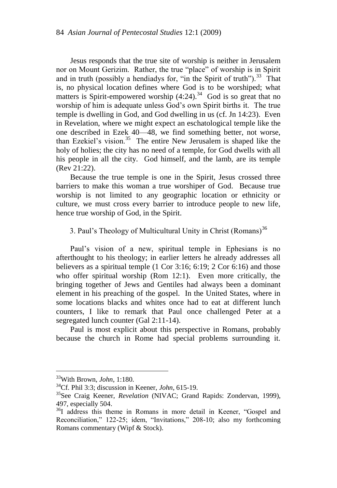Jesus responds that the true site of worship is neither in Jerusalem nor on Mount Gerizim. Rather, the true "place" of worship is in Spirit and in truth (possibly a hendiadys for, "in the Spirit of truth").<sup>33</sup> That is, no physical location defines where God is to be worshiped; what matters is Spirit-empowered worship  $(4:24)$ .<sup>34</sup> God is so great that no worship of him is adequate unless God"s own Spirit births it. The true temple is dwelling in God, and God dwelling in us (cf. Jn 14:23). Even in Revelation, where we might expect an eschatological temple like the one described in Ezek 40—48, we find something better, not worse, than Ezekiel's vision.<sup>35</sup> The entire New Jerusalem is shaped like the holy of holies; the city has no need of a temple, for God dwells with all his people in all the city. God himself, and the lamb, are its temple (Rev 21:22).

Because the true temple is one in the Spirit, Jesus crossed three barriers to make this woman a true worshiper of God. Because true worship is not limited to any geographic location or ethnicity or culture, we must cross every barrier to introduce people to new life, hence true worship of God, in the Spirit.

3. Paul's Theology of Multicultural Unity in Christ (Romans)<sup>36</sup>

Paul"s vision of a new, spiritual temple in Ephesians is no afterthought to his theology; in earlier letters he already addresses all believers as a spiritual temple (1 Cor 3:16; 6:19; 2 Cor 6:16) and those who offer spiritual worship (Rom 12:1). Even more critically, the bringing together of Jews and Gentiles had always been a dominant element in his preaching of the gospel. In the United States, where in some locations blacks and whites once had to eat at different lunch counters, I like to remark that Paul once challenged Peter at a segregated lunch counter (Gal 2:11-14).

Paul is most explicit about this perspective in Romans, probably because the church in Rome had special problems surrounding it.

<sup>33</sup>With Brown, *John*, 1:180.

<sup>34</sup>Cf. Phil 3:3; discussion in Keener, *John*, 615-19.

<sup>35</sup>See Craig Keener, *Revelation* (NIVAC; Grand Rapids: Zondervan, 1999), 497, especially 504.

<sup>&</sup>lt;sup>36</sup>I address this theme in Romans in more detail in Keener, "Gospel and Reconciliation," 122-25; idem, "Invitations," 208-10; also my forthcoming Romans commentary (Wipf & Stock).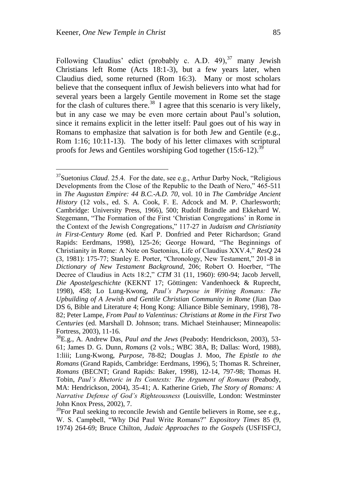Following Claudius' edict (probably c. A.D. 49),  $37 \text{ many Jewish}$ Christians left Rome (Acts 18:1-3), but a few years later, when Claudius died, some returned (Rom 16:3). Many or most scholars believe that the consequent influx of Jewish believers into what had for several years been a largely Gentile movement in Rome set the stage for the clash of cultures there.<sup>38</sup> I agree that this scenario is very likely, but in any case we may be even more certain about Paul"s solution, since it remains explicit in the letter itself: Paul goes out of his way in Romans to emphasize that salvation is for both Jew and Gentile (e.g., Rom 1:16; 10:11-13). The body of his letter climaxes with scriptural proofs for Jews and Gentiles worshiping God together  $(15:6-12)$ .<sup>39</sup>

<sup>37</sup>Suetonius *Claud*. 25.4. For the date, see e.g., Arthur Darby Nock, "Religious Developments from the Close of the Republic to the Death of Nero," 465-511 in *The Augustan Empire: 44 B.C.-A.D. 70,* vol. 10 in *The Cambridge Ancient History* (12 vols., ed. S. A. Cook, F. E. Adcock and M. P. Charlesworth; Cambridge: University Press, 1966), 500; Rudolf Brändle and Ekkehard W. Stegemann, "The Formation of the First "Christian Congregations" in Rome in the Context of the Jewish Congregations," 117-27 in *Judaism and Christianity in First-Century Rome* (ed. Karl P. Donfried and Peter Richardson; Grand Rapids: Eerdmans, 1998), 125-26; George Howard, "The Beginnings of Christianity in Rome: A Note on Suetonius, Life of Claudius XXV.4," *ResQ* 24 (3, 1981): 175-77; Stanley E. Porter, "Chronology, New Testament," 201-8 in *Dictionary of New Testament Background*, 206; Robert O. Hoerber, "The Decree of Claudius in Acts 18:2," *CTM* 31 (11, 1960): 690-94; Jacob Jervell, *Die Apostelgeschichte* (KEKNT 17; Göttingen: Vandenhoeck & Ruprecht, 1998), 458; Lo Lung-Kwong, *Paul's Purpose in Writing Romans: The Upbuilding of A Jewish and Gentile Christian Community in Rome* (Jian Dao DS 6, Bible and Literature 4; Hong Kong: Alliance Bible Seminary, 1998), 78- 82; Peter Lampe, *From Paul to Valentinus: Christians at Rome in the First Two Centuries* (ed. Marshall D. Johnson; trans. Michael Steinhauser; Minneapolis: Fortress, 2003), 11-16.

<sup>38</sup>E.g., A. Andrew Das, *Paul and the Jews* (Peabody: Hendrickson, 2003), 53- 61; James D. G. Dunn, *Romans* (2 vols.; WBC 38A, B; Dallas: Word, 1988)*,* 1:liii; Lung-Kwong, *Purpose*, 78-82; Douglas J. Moo, *The Epistle to the Romans* (Grand Rapids, Cambridge: Eerdmans, 1996), 5; Thomas R. Schreiner, *Romans* (BECNT; Grand Rapids: Baker, 1998), 12-14, 797-98; Thomas H. Tobin, *Paul's Rhetoric in Its Contexts: The Argument of Romans* (Peabody, MA: Hendrickson, 2004), 35-41; A. Katherine Grieb, *The Story of Romans: A Narrative Defense of God's Righteousness* (Louisville, London: Westminster John Knox Press, 2002), 7.

 $39$ For Paul seeking to reconcile Jewish and Gentile believers in Rome, see e.g., W. S. Campbell, "Why Did Paul Write Romans?" *Expository Times* 85 (9, 1974) 264-69; Bruce Chilton, *Judaic Approaches to the Gospels* (USFISFCJ,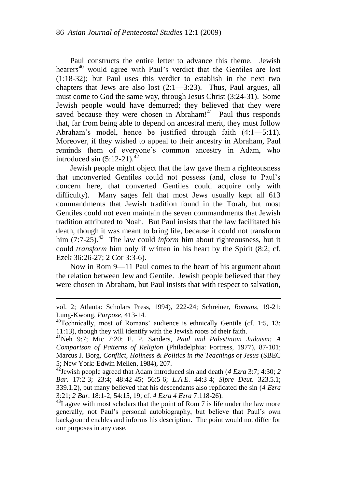Paul constructs the entire letter to advance this theme. Jewish hearers<sup>40</sup> would agree with Paul's verdict that the Gentiles are lost (1:18-32); but Paul uses this verdict to establish in the next two chapters that Jews are also lost (2:1—3:23). Thus, Paul argues, all must come to God the same way, through Jesus Christ (3:24-31). Some Jewish people would have demurred; they believed that they were saved because they were chosen in Abraham! $41$  Paul thus responds that, far from being able to depend on ancestral merit, they must follow Abraham"s model, hence be justified through faith (4:1—5:11). Moreover, if they wished to appeal to their ancestry in Abraham, Paul reminds them of everyone's common ancestry in Adam, who introduced sin  $(5:12-21).^{42}$ 

Jewish people might object that the law gave them a righteousness that unconverted Gentiles could not possess (and, close to Paul"s concern here, that converted Gentiles could acquire only with difficulty). Many sages felt that most Jews usually kept all 613 commandments that Jewish tradition found in the Torah, but most Gentiles could not even maintain the seven commandments that Jewish tradition attributed to Noah. But Paul insists that the law facilitated his death, though it was meant to bring life, because it could not transform him  $(7:7-25)$ .<sup>43</sup> The law could *inform* him about righteousness, but it could *transform* him only if written in his heart by the Spirit (8:2; cf. Ezek 36:26-27; 2 Cor 3:3-6).

Now in Rom 9—11 Paul comes to the heart of his argument about the relation between Jew and Gentile. Jewish people believed that they were chosen in Abraham, but Paul insists that with respect to salvation,

vol. 2; Atlanta: Scholars Press, 1994), 222-24; Schreiner, *Romans*, 19-21; Lung-Kwong, *Purpose*, 413-14.

<sup>&</sup>lt;sup>40</sup>Technically, most of Romans' audience is ethnically Gentile (cf. 1:5, 13; 11:13), though they will identify with the Jewish roots of their faith.

<sup>41</sup>Neh 9:7; Mic 7:20; E. P. Sanders, *Paul and Palestinian Judaism: A Comparison of Patterns of Religion* (Philadelphia: Fortress, 1977), 87-101; Marcus J. Borg, *Conflict, Holiness & Politics in the Teachings of Jesus* (SBEC 5; New York: Edwin Mellen, 1984), 207.

<sup>42</sup>Jewish people agreed that Adam introduced sin and death (*4 Ezra* 3:7; 4:30; *2 Bar*. 17:2-3; 23:4; 48:42-45; 56:5-6; *L.A.E*. 44:3-4; *Sipre Deut*. 323.5.1; 339.1.2), but many believed that his descendants also replicated the sin (*4 Ezra* 3:21; *2 Bar*. 18:1-2; 54:15, 19; cf. *4 Ezra 4 Ezra* 7:118-26).

 $43I$  agree with most scholars that the point of Rom 7 is life under the law more generally, not Paul"s personal autobiography, but believe that Paul"s own background enables and informs his description. The point would not differ for our purposes in any case.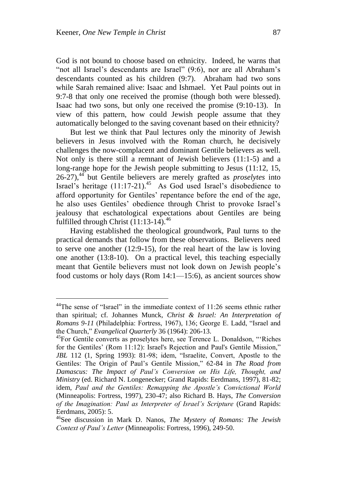God is not bound to choose based on ethnicity. Indeed, he warns that "not all Israel"s descendants are Israel" (9:6), nor are all Abraham"s descendants counted as his children (9:7). Abraham had two sons while Sarah remained alive: Isaac and Ishmael. Yet Paul points out in 9:7-8 that only one received the promise (though both were blessed). Isaac had two sons, but only one received the promise (9:10-13). In view of this pattern, how could Jewish people assume that they automatically belonged to the saving covenant based on their ethnicity?

But lest we think that Paul lectures only the minority of Jewish believers in Jesus involved with the Roman church, he decisively challenges the now-complacent and dominant Gentile believers as well. Not only is there still a remnant of Jewish believers (11:1-5) and a long-range hope for the Jewish people submitting to Jesus (11:12, 15, 26-27),<sup>44</sup> but Gentile believers are merely grafted as *proselytes* into Israel's heritage  $(11:17-21)$ .<sup>45</sup> As God used Israel's disobedience to afford opportunity for Gentiles' repentance before the end of the age, he also uses Gentiles" obedience through Christ to provoke Israel"s jealousy that eschatological expectations about Gentiles are being fulfilled through Christ  $(11:13-14)$ .<sup>46</sup>

Having established the theological groundwork, Paul turns to the practical demands that follow from these observations. Believers need to serve one another (12:9-15), for the real heart of the law is loving one another (13:8-10). On a practical level, this teaching especially meant that Gentile believers must not look down on Jewish people"s food customs or holy days (Rom 14:1—15:6), as ancient sources show

 $^{44}$ The sense of "Israel" in the immediate context of 11:26 seems ethnic rather than spiritual; cf. Johannes Munck, *Christ & Israel: An Interpretation of Romans 9-11* (Philadelphia: Fortress, 1967), 136; George E. Ladd, "Israel and the Church," *Evangelical Quarterly* 36 (1964): 206-13.

 $^{45}$ For Gentile converts as proselytes here, see Terence L. Donaldson, "'Riches' for the Gentiles' (Rom 11:12): Israel's Rejection and Paul's Gentile Mission," *JBL* 112 (1, Spring 1993): 81-98; idem, "Israelite, Convert, Apostle to the Gentiles: The Origin of Paul"s Gentile Mission," 62-84 in *The Road from Damascus: The Impact of Paul's Conversion on His Life, Thought, and Ministry* (ed. Richard N. Longenecker; Grand Rapids: Eerdmans, 1997), 81-82; idem, *Paul and the Gentiles: Remapping the Apostle's Convictional World* (Minneapolis: Fortress, 1997), 230-47; also Richard B. Hays, *The Conversion of the Imagination: Paul as Interpreter of Israel's Scripture* (Grand Rapids: Eerdmans, 2005): 5.

<sup>46</sup>See discussion in Mark D. Nanos, *The Mystery of Romans: The Jewish Context of Paul's Letter* (Minneapolis: Fortress, 1996), 249-50.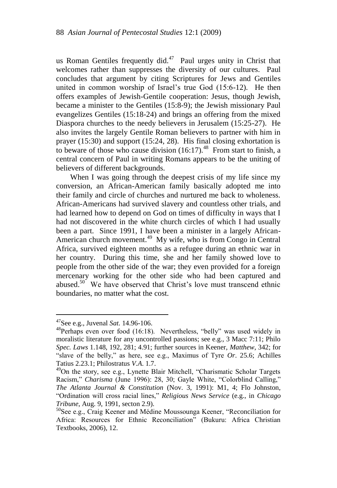us Roman Gentiles frequently did. $47$  Paul urges unity in Christ that welcomes rather than suppresses the diversity of our cultures. Paul concludes that argument by citing Scriptures for Jews and Gentiles united in common worship of Israel"s true God (15:6-12). He then offers examples of Jewish-Gentile cooperation: Jesus, though Jewish, became a minister to the Gentiles (15:8-9); the Jewish missionary Paul evangelizes Gentiles (15:18-24) and brings an offering from the mixed Diaspora churches to the needy believers in Jerusalem (15:25-27). He also invites the largely Gentile Roman believers to partner with him in prayer (15:30) and support (15:24, 28). His final closing exhortation is to beware of those who cause division  $(16:17)$ <sup>48</sup> From start to finish, a central concern of Paul in writing Romans appears to be the uniting of believers of different backgrounds.

When I was going through the deepest crisis of my life since my conversion, an African-American family basically adopted me into their family and circle of churches and nurtured me back to wholeness. African-Americans had survived slavery and countless other trials, and had learned how to depend on God on times of difficulty in ways that I had not discovered in the white church circles of which I had usually been a part. Since 1991, I have been a minister in a largely African-American church movement.<sup>49</sup> My wife, who is from Congo in Central Africa, survived eighteen months as a refugee during an ethnic war in her country. During this time, she and her family showed love to people from the other side of the war; they even provided for a foreign mercenary working for the other side who had been captured and abused.<sup>50</sup> We have observed that Christ's love must transcend ethnic boundaries, no matter what the cost.

<sup>47</sup>See e.g., Juvenal *Sat*. 14.96-106.

 $48$ Perhaps even over food (16:18). Nevertheless, "belly" was used widely in moralistic literature for any uncontrolled passions; see e.g., 3 Macc 7:11; Philo *Spec. Laws* 1.148, 192, 281; 4.91; further sources in Keener, *Matthew*, 342; for "slave of the belly," as here, see e.g., Maximus of Tyre *Or*. 25.6; Achilles Tatius 2.23.1; Philostratus *V.A*. 1.7.

<sup>&</sup>lt;sup>49</sup>On the story, see e.g., Lynette Blair Mitchell, "Charismatic Scholar Targets Racism," *Charisma* (June 1996): 28, 30; Gayle White, "Colorblind Calling," *The Atlanta Journal & Constitution* (Nov. 3, 1991): M1, 4; Flo Johnston, "Ordination will cross racial lines," *Religious News Service* (e.g., in *Chicago Tribune*, Aug. 9, 1991, secton 2.9).

<sup>50</sup>See e.g., Craig Keener and Médine Moussounga Keener, "Reconciliation for Africa: Resources for Ethnic Reconciliation" (Bukuru: Africa Christian Textbooks, 2006), 12.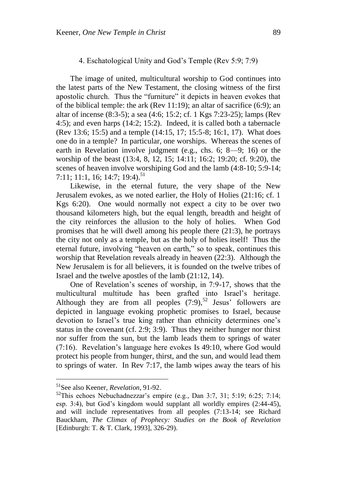## 4. Eschatological Unity and God"s Temple (Rev 5:9; 7:9)

The image of united, multicultural worship to God continues into the latest parts of the New Testament, the closing witness of the first apostolic church. Thus the "furniture" it depicts in heaven evokes that of the biblical temple: the ark (Rev 11:19); an altar of sacrifice (6:9); an altar of incense (8:3-5); a sea (4:6; 15:2; cf. 1 Kgs 7:23-25); lamps (Rev 4:5); and even harps (14:2; 15:2). Indeed, it is called both a tabernacle (Rev 13:6; 15:5) and a temple (14:15, 17; 15:5-8; 16:1, 17). What does one do in a temple? In particular, one worships. Whereas the scenes of earth in Revelation involve judgment (e.g., chs. 6; 8—9; 16) or the worship of the beast (13:4, 8, 12, 15; 14:11; 16:2; 19:20; cf. 9:20), the scenes of heaven involve worshiping God and the lamb (4:8-10; 5:9-14; 7:11: 11:1, 16: 14:7: 19:4).<sup>51</sup>

Likewise, in the eternal future, the very shape of the New Jerusalem evokes, as we noted earlier, the Holy of Holies (21:16; cf. 1 Kgs 6:20). One would normally not expect a city to be over two thousand kilometers high, but the equal length, breadth and height of the city reinforces the allusion to the holy of holies. When God promises that he will dwell among his people there (21:3), he portrays the city not only as a temple, but as the holy of holies itself! Thus the eternal future, involving "heaven on earth," so to speak, continues this worship that Revelation reveals already in heaven (22:3). Although the New Jerusalem is for all believers, it is founded on the twelve tribes of Israel and the twelve apostles of the lamb (21:12, 14).

One of Revelation"s scenes of worship, in 7:9-17, shows that the multicultural multitude has been grafted into Israel"s heritage. Although they are from all peoples  $(7:9)$ ,<sup>52</sup> Jesus' followers are depicted in language evoking prophetic promises to Israel, because devotion to Israel"s true king rather than ethnicity determines one"s status in the covenant (cf. 2:9; 3:9). Thus they neither hunger nor thirst nor suffer from the sun, but the lamb leads them to springs of water  $(7:16)$ . Revelation's language here evokes Is 49:10, where God would protect his people from hunger, thirst, and the sun, and would lead them to springs of water. In Rev 7:17, the lamb wipes away the tears of his

<sup>51</sup>See also Keener, *Revelation*, 91-92.

 $52$ This echoes Nebuchadnezzar's empire (e.g., Dan 3:7, 31; 5:19; 6:25; 7:14; esp. 3:4), but God"s kingdom would supplant all worldly empires (2:44-45), and will include representatives from all peoples (7:13-14; see Richard Bauckham, *The Climax of Prophecy: Studies on the Book of Revelation* [Edinburgh: T. & T. Clark, 1993], 326-29).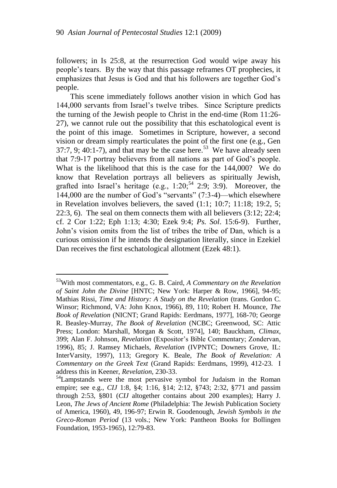followers; in Is 25:8, at the resurrection God would wipe away his people"s tears. By the way that this passage reframes OT prophecies, it emphasizes that Jesus is God and that his followers are together God"s people.

This scene immediately follows another vision in which God has 144,000 servants from Israel"s twelve tribes. Since Scripture predicts the turning of the Jewish people to Christ in the end-time (Rom 11:26- 27), we cannot rule out the possibility that this eschatological event is the point of this image. Sometimes in Scripture, however, a second vision or dream simply rearticulates the point of the first one (e.g., Gen 37:7, 9; 40:1-7), and that may be the case here.<sup>53</sup> We have already seen that 7:9-17 portray believers from all nations as part of God"s people. What is the likelihood that this is the case for the 144,000? We do know that Revelation portrays all believers as spiritually Jewish, grafted into Israel's heritage (e.g.,  $1:20$ ;  $54$  2:9; 3:9). Moreover, the 144,000 are the number of God"s "servants" (7:3-4)—which elsewhere in Revelation involves believers, the saved (1:1; 10:7; 11:18; 19:2, 5; 22:3, 6). The seal on them connects them with all believers (3:12; 22:4; cf. 2 Cor 1:22; Eph 1:13; 4:30; Ezek 9:4; *Ps. Sol*. 15:6-9). Further, John"s vision omits from the list of tribes the tribe of Dan, which is a curious omission if he intends the designation literally, since in Ezekiel Dan receives the first eschatological allotment (Ezek 48:1).

<sup>53</sup>With most commentators, e.g., G. B. Caird, *A Commentary on the Revelation of Saint John the Divine* [HNTC; New York: Harper & Row, 1966], 94-95; Mathias Rissi, *Time and History: A Study on the Revelation* (trans. Gordon C. Winsor; Richmond, VA: John Knox, 1966), 89, 110; Robert H. Mounce, *The Book of Revelation* (NICNT; Grand Rapids: Eerdmans, 1977], 168-70; George R. Beasley-Murray, *The Book of Revelation* (NCBC; Greenwood, SC: Attic Press; London: Marshall, Morgan & Scott, 1974], 140; Bauckham, *Climax*, 399; Alan F. Johnson, *Revelation* (Expositor"s Bible Commentary; Zondervan, 1996), 85; J. Ramsey Michaels, *Revelation* (IVPNTC; Downers Grove, IL: InterVarsity, 1997), 113; Gregory K. Beale, *The Book of Revelation: A Commentary on the Greek Text* (Grand Rapids: Eerdmans, 1999), 412-23. I address this in Keener, *Revelation*, 230-33.

<sup>&</sup>lt;sup>54</sup>Lampstands were the most pervasive symbol for Judaism in the Roman empire; see e.g., *CIJ* 1:8, §4; 1:16, §14; 2:12, §743; 2:32, §771 and passim through 2:53, §801 (*CIJ* altogether contains about 200 examples); Harry J. Leon, *The Jews of Ancient Rome* (Philadelphia: The Jewish Publication Society of America, 1960), 49, 196-97; Erwin R. Goodenough, *Jewish Symbols in the Greco-Roman Period* (13 vols.; New York: Pantheon Books for Bollingen Foundation, 1953-1965), 12:79-83.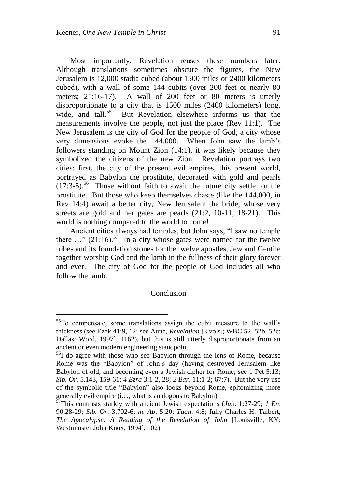Most importantly, Revelation reuses these numbers later. Although translations sometimes obscure the figures, the New Jerusalem is 12,000 stadia cubed (about 1500 miles or 2400 kilometers cubed), with a wall of some 144 cubits (over 200 feet or nearly 80 meters: 21:16-17). A wall of 200 feet or 80 meters is utterly disproportionate to a city that is 1500 miles (2400 kilometers) long, wide, and tall.<sup>55</sup> But Revelation elsewhere informs us that the measurements involve the people, not just the place (Rev 11:1). The New Jerusalem is the city of God for the people of God, a city whose very dimensions evoke the 144,000. When John saw the lamb"s followers standing on Mount Zion (14:1), it was likely because they symbolized the citizens of the new Zion. Revelation portrays two cities: first, the city of the present evil empires, this present world, portrayed as Babylon the prostitute, decorated with gold and pearls  $(17:3-5)$ <sup>56</sup> Those without faith to await the future city settle for the prostitute. But those who keep themselves chaste (like the 144,000, in Rev 14:4) await a better city, New Jerusalem the bride, whose very streets are gold and her gates are pearls (21:2, 10-11, 18-21). This world is nothing compared to the world to come!

Ancient cities always had temples, but John says, "I saw no temple there  $\ldots$ " (21:16).<sup>57</sup> In a city whose gates were named for the twelve tribes and its foundation stones for the twelve apostles, Jew and Gentile together worship God and the lamb in the fullness of their glory forever and ever. The city of God for the people of God includes all who follow the lamb.

## Conclusion

<sup>&</sup>lt;sup>55</sup>To compensate, some translations assign the cubit measure to the wall's thickness (see Ezek 41:9, 12; see Aune, *Revelation* [3 vols.; WBC 52, 52b, 52c; Dallas: Word, 1997], 1162), but this is still utterly disproportionate from an ancient or even modern engineering standpoint.

 $56I$  do agree with those who see Babylon through the lens of Rome, because Rome was the "Babylon" of John"s day (having destroyed Jerusalem like Babylon of old, and becoming even a Jewish cipher for Rome; see 1 Pet 5:13; *Sib. Or*. 5.143, 159-61; *4 Ezra* 3:1-2, 28; *2 Bar*. 11:1-2; 67:7). But the very use of the symbolic title "Babylon" also looks beyond Rome, epitomizing more generally evil empire (i.e., what is analogous to Babylon).

<sup>57</sup>This contrasts starkly with ancient Jewish expectations (*Jub*. 1:27-29; *1 En*. 90:28-29; *Sib. Or*. 3.702-6; *m. Ab*. 5:20; *Taan*. 4:8; fully Charles H. Talbert, *The Apocalypse: A Reading of the Revelation of John* [Louisville, KY: Westminster John Knox, 1994], 102).